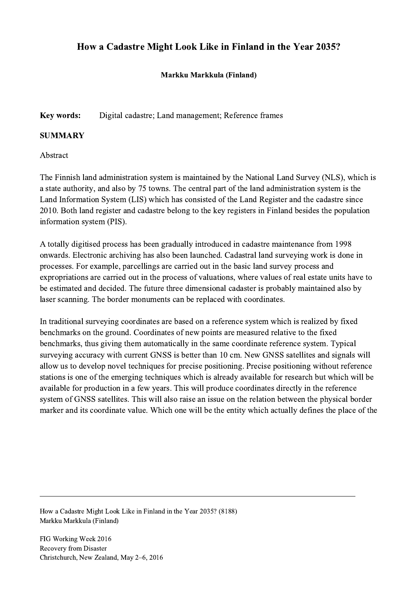# How a Cadastre Might Look Like in Finland in the Year 2035?

Markku Markkula (Finland)

### Key words: Digital cadastre; Land management; Reference frames

#### **SUMMARY**

Abstract

The Finnish land administration system is maintained by the National Land Survey (NLS), which is a state authority, and also by 75 towns. The central part of the land administration system is the Land Information System (LIS) which has consisted of the Land Register and the cadastre since 2010. Both land register and cadastre belong to the key registers in Finland besides the population information system (PIS).

A totally digitised process has been gradually introduced in cadastre maintenance from 1998 onwards. Electronic archiving has also been launched. Cadastral land surveying work is done in processes. For example, parcellings are carried out in the basic land survey process and expropriations are carried out in the process of valuations, where values of real estate units have to be estimated and decided. The future three dimensional cadaster is probably maintained also by laser scanning. The border monuments can be replaced with coordinates.

In traditional surveying coordinates are based on a reference system which is realized by fixed benchmarks on the ground. Coordinates of new points are measured relative to the fixed benchmarks, thus giving them automatically in the same coordinate reference system. Typical surveying accuracy with current GNSS is better than 10 cm. New GNSS satellites and signals will allow us to develop novel techniques for precise positioning. Precise positioning without reference stations is one of the emerging techniques which is already available for research but which will be available for production in a few years. This will produce coordinates directly in the reference system of GNSS satellites. This will also raise an issue on the relation between the physical border marker and its coordinate value. Which one will be the entity which actually defines the place of the

 $\mathcal{L}_\mathcal{L} = \{ \mathcal{L}_\mathcal{L} = \{ \mathcal{L}_\mathcal{L} = \{ \mathcal{L}_\mathcal{L} = \{ \mathcal{L}_\mathcal{L} = \{ \mathcal{L}_\mathcal{L} = \{ \mathcal{L}_\mathcal{L} = \{ \mathcal{L}_\mathcal{L} = \{ \mathcal{L}_\mathcal{L} = \{ \mathcal{L}_\mathcal{L} = \{ \mathcal{L}_\mathcal{L} = \{ \mathcal{L}_\mathcal{L} = \{ \mathcal{L}_\mathcal{L} = \{ \mathcal{L}_\mathcal{L} = \{ \mathcal{L}_\mathcal{$ 

How a Cadastre Might Look Like in Finland in the Year 2035? (8188) Markku Markkula (Finland)

FIG Working Week 2016 Recovery from Disaster Christchurch, New Zealand, May 2–6, 2016